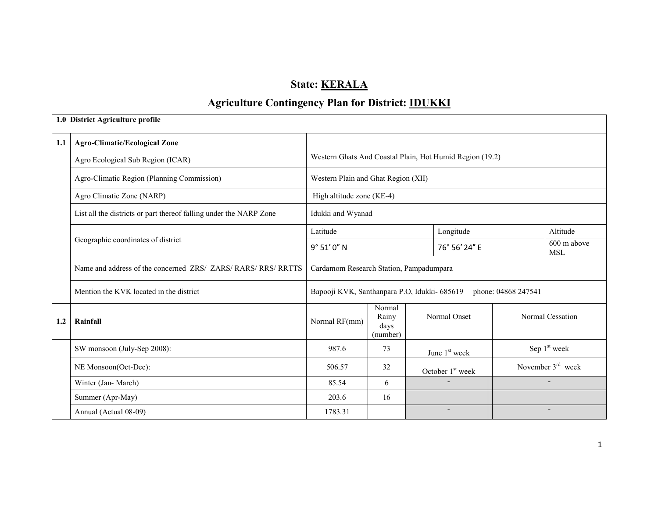# State: **KERALA**

## Agriculture Contingency Plan for District: **IDUKKI**

|     | 1.0 District Agriculture profile                                   |                                         |                                     |                                                          |                           |                          |  |
|-----|--------------------------------------------------------------------|-----------------------------------------|-------------------------------------|----------------------------------------------------------|---------------------------|--------------------------|--|
| 1.1 | <b>Agro-Climatic/Ecological Zone</b>                               |                                         |                                     |                                                          |                           |                          |  |
|     | Agro Ecological Sub Region (ICAR)                                  |                                         |                                     | Western Ghats And Coastal Plain, Hot Humid Region (19.2) |                           |                          |  |
|     | Agro-Climatic Region (Planning Commission)                         | Western Plain and Ghat Region (XII)     |                                     |                                                          |                           |                          |  |
|     | Agro Climatic Zone (NARP)                                          | High altitude zone (KE-4)               |                                     |                                                          |                           |                          |  |
|     | List all the districts or part thereof falling under the NARP Zone | Idukki and Wyanad                       |                                     |                                                          |                           |                          |  |
|     |                                                                    | Latitude                                |                                     | Longitude                                                |                           | Altitude                 |  |
|     | Geographic coordinates of district                                 | 9° 51' 0" N                             |                                     | 76° 56' 24" E                                            | 600 m above<br><b>MSL</b> |                          |  |
|     | Name and address of the concerned ZRS/ ZARS/ RARS/ RRS/ RRTTS      | Cardamom Research Station, Pampadumpara |                                     |                                                          |                           |                          |  |
|     | Mention the KVK located in the district                            |                                         |                                     | Bapooji KVK, Santhanpara P.O, Idukki- 685619             | phone: 04868 247541       |                          |  |
| 1.2 | Rainfall                                                           | Normal RF(mm)                           | Normal<br>Rainy<br>days<br>(number) | Normal Onset                                             |                           | Normal Cessation         |  |
|     | SW monsoon (July-Sep 2008):                                        | 987.6                                   | 73                                  | June 1 <sup>st</sup> week                                |                           | Sep 1 <sup>st</sup> week |  |
|     | NE Monsoon(Oct-Dec):                                               | 506.57                                  | 32                                  | October 1 <sup>st</sup> week                             | November $3rd$ week       |                          |  |
|     | Winter (Jan-March)                                                 | 85.54                                   | 6                                   |                                                          |                           | $\blacksquare$           |  |
|     | Summer (Apr-May)                                                   | 203.6                                   | 16                                  |                                                          |                           |                          |  |
|     | Annual (Actual 08-09)                                              | 1783.31                                 |                                     | $\overline{\phantom{a}}$                                 |                           | $\overline{\phantom{a}}$ |  |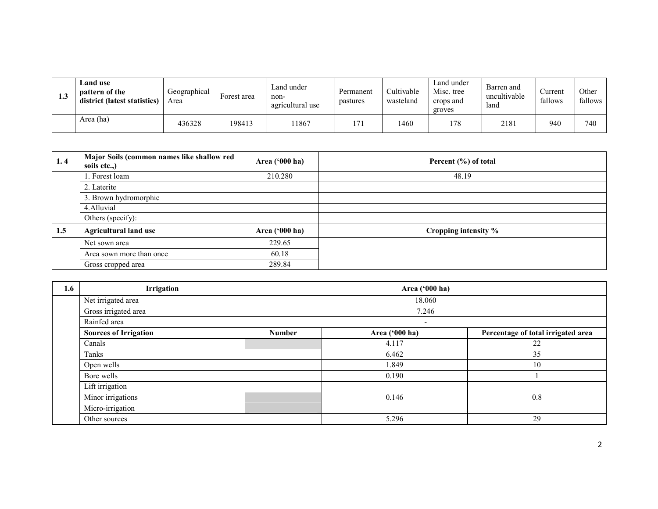| 1.3 | <b>Land use</b><br>pattern of the<br>district (latest statistics) | Geographical<br>Area | Forest area | Land under<br>non-<br>agricultural use | Permanent<br>pastures | Cultivable<br>wasteland | Land under<br>Misc. tree<br>crops and<br>groves | Barren and<br>uncultivable<br>land | Current<br>fallows | Other<br>fallows |
|-----|-------------------------------------------------------------------|----------------------|-------------|----------------------------------------|-----------------------|-------------------------|-------------------------------------------------|------------------------------------|--------------------|------------------|
|     | Area (ha)                                                         | 436328               | 198413      | 1867                                   | 171                   | 1460                    | 178                                             | 2181                               | 940                | 740              |

| 1, 4 | Major Soils (common names like shallow red<br>soils etc.,) | Area $(900 \text{ ha})$ | Percent (%) of total |
|------|------------------------------------------------------------|-------------------------|----------------------|
|      | . Forest loam                                              | 210.280                 | 48.19                |
|      | 2. Laterite                                                |                         |                      |
|      | 3. Brown hydromorphic                                      |                         |                      |
|      | 4. Alluvial                                                |                         |                      |
|      | Others (specify):                                          |                         |                      |
| 1.5  | <b>Agricultural land use</b>                               | Area $(900 \text{ ha})$ | Cropping intensity % |
|      | Net sown area                                              | 229.65                  |                      |
|      | Area sown more than once                                   | 60.18                   |                      |
|      | Gross cropped area                                         | 289.84                  |                      |

| 1.6 | Irrigation                   |                          | Area ('000 ha) |                                    |  |  |  |  |
|-----|------------------------------|--------------------------|----------------|------------------------------------|--|--|--|--|
|     | Net irrigated area           |                          | 18.060         |                                    |  |  |  |  |
|     | Gross irrigated area         |                          |                |                                    |  |  |  |  |
|     | Rainfed area                 | $\overline{\phantom{a}}$ |                |                                    |  |  |  |  |
|     | <b>Sources of Irrigation</b> | <b>Number</b>            | Area ('000 ha) | Percentage of total irrigated area |  |  |  |  |
|     | Canals                       |                          | 4.117          | 22                                 |  |  |  |  |
|     | Tanks                        |                          | 6.462          | 35                                 |  |  |  |  |
|     | Open wells                   |                          | 1.849          | 10                                 |  |  |  |  |
|     | Bore wells                   |                          | 0.190          |                                    |  |  |  |  |
|     | Lift irrigation              |                          |                |                                    |  |  |  |  |
|     | Minor irrigations            |                          | 0.146          | 0.8                                |  |  |  |  |
|     | Micro-irrigation             |                          |                |                                    |  |  |  |  |
|     | Other sources                |                          | 5.296          | 29                                 |  |  |  |  |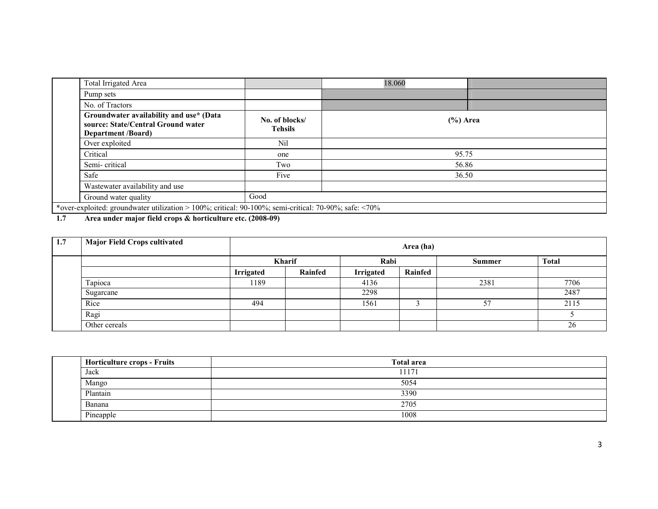| Total Irrigated Area                                                                                       |                                  | 18.060      |  |  |  |
|------------------------------------------------------------------------------------------------------------|----------------------------------|-------------|--|--|--|
| Pump sets                                                                                                  |                                  |             |  |  |  |
| No. of Tractors                                                                                            |                                  |             |  |  |  |
| Groundwater availability and use* (Data<br>source: State/Central Ground water<br><b>Department /Board)</b> | No. of blocks/<br><b>Tehsils</b> | $(\%)$ Area |  |  |  |
| Over exploited                                                                                             | Nil                              |             |  |  |  |
| Critical                                                                                                   | one                              | 95.75       |  |  |  |
| Semi-critical                                                                                              | Two                              | 56.86       |  |  |  |
| Safe                                                                                                       | Five                             | 36.50       |  |  |  |
| Wastewater availability and use                                                                            |                                  |             |  |  |  |
| Ground water quality                                                                                       | Good                             |             |  |  |  |
| *over-exploited: groundwater utilization > 100%; critical: 90-100%; semi-critical: 70-90%; safe: <70%      |                                  |             |  |  |  |

1.7Area under major field crops & horticulture etc. (2008-09)

| 1.7 | <b>Major Field Crops cultivated</b> |                  | Area (ha) |                  |         |        |              |  |  |  |
|-----|-------------------------------------|------------------|-----------|------------------|---------|--------|--------------|--|--|--|
|     |                                     |                  | Kharif    | Rabi             |         | Summer | <b>Total</b> |  |  |  |
|     |                                     | <b>Irrigated</b> | Rainfed   | <b>Irrigated</b> | Rainfed |        |              |  |  |  |
|     | Tapioca                             | 1189             |           | 4136             |         | 2381   | 7706         |  |  |  |
|     | Sugarcane                           |                  |           | 2298             |         |        | 2487         |  |  |  |
|     | Rice                                | 494              |           | 1561             |         | 57     | 2115         |  |  |  |
|     | Ragi                                |                  |           |                  |         |        |              |  |  |  |
|     | Other cereals                       |                  |           |                  |         |        | 26           |  |  |  |

| <b>Horticulture crops - Fruits</b> | <b>Total area</b> |  |  |  |  |  |
|------------------------------------|-------------------|--|--|--|--|--|
| Jack                               | 11171             |  |  |  |  |  |
| Mango                              | 5054              |  |  |  |  |  |
| Plantain                           | 3390              |  |  |  |  |  |
| Banana                             | 2705              |  |  |  |  |  |
| Pineapple                          | 1008              |  |  |  |  |  |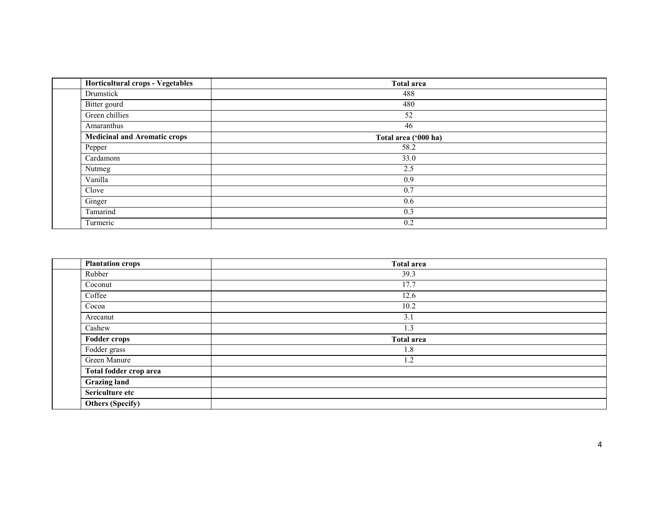| <b>Horticultural crops - Vegetables</b> | <b>Total area</b>    |  |
|-----------------------------------------|----------------------|--|
| Drumstick                               | 488                  |  |
| Bitter gourd                            | 480                  |  |
| Green chillies                          | 52                   |  |
| Amaranthus                              | 46                   |  |
| <b>Medicinal and Aromatic crops</b>     | Total area ('000 ha) |  |
| Pepper                                  | 58.2                 |  |
| Cardamom                                | 33.0                 |  |
| Nutmeg                                  | 2.5                  |  |
| Vanilla                                 | 0.9                  |  |
| Clove                                   | 0.7                  |  |
| Ginger                                  | 0.6                  |  |
| Tamarind                                | 0.3                  |  |
| Turmeric                                | 0.2                  |  |

| <b>Plantation crops</b> | <b>Total area</b> |  |
|-------------------------|-------------------|--|
| Rubber                  | 39.3              |  |
| Coconut                 | 17.7              |  |
| Coffee                  | 12.6              |  |
| Cocoa                   | 10.2              |  |
| Arecanut                | 3.1               |  |
| Cashew                  | 1.3               |  |
| <b>Fodder crops</b>     | <b>Total area</b> |  |
| Fodder grass            | 1.8               |  |
| Green Manure            | 1.2               |  |
| Total fodder crop area  |                   |  |
| <b>Grazing land</b>     |                   |  |
| Sericulture etc         |                   |  |
| <b>Others (Specify)</b> |                   |  |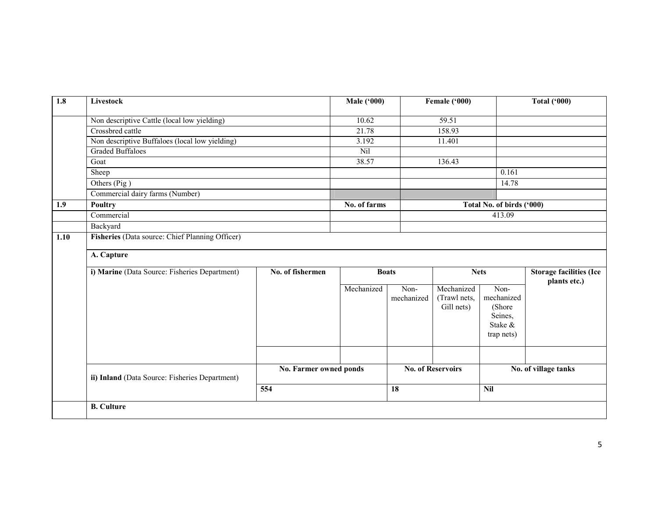| $\overline{1.8}$ | <b>Livestock</b>                                |                        | <b>Male ('000)</b> |                    | Female ('000)              |                           | <b>Total ('000)</b>            |  |  |
|------------------|-------------------------------------------------|------------------------|--------------------|--------------------|----------------------------|---------------------------|--------------------------------|--|--|
|                  | Non descriptive Cattle (local low yielding)     |                        | 10.62              |                    | 59.51                      |                           |                                |  |  |
|                  | Crossbred cattle                                |                        | 21.78              |                    | 158.93                     |                           |                                |  |  |
|                  | Non descriptive Buffaloes (local low yielding)  |                        | 3.192              |                    | 11.401                     |                           |                                |  |  |
|                  | <b>Graded Buffaloes</b>                         |                        | Nil                |                    |                            |                           |                                |  |  |
|                  | Goat                                            |                        | 38.57              |                    | 136.43                     |                           |                                |  |  |
|                  | Sheep                                           |                        |                    |                    |                            | 0.161                     |                                |  |  |
|                  | Others (Pig)                                    |                        |                    |                    |                            | 14.78                     |                                |  |  |
|                  | Commercial dairy farms (Number)                 |                        |                    |                    |                            |                           |                                |  |  |
| 1.9              | Poultry                                         |                        | No. of farms       |                    |                            | Total No. of birds ('000) |                                |  |  |
|                  | Commercial                                      |                        |                    |                    |                            | 413.09                    |                                |  |  |
|                  | Backyard                                        |                        |                    |                    |                            |                           |                                |  |  |
| 1.10             | Fisheries (Data source: Chief Planning Officer) |                        |                    |                    |                            |                           |                                |  |  |
|                  |                                                 |                        |                    |                    |                            |                           |                                |  |  |
|                  | A. Capture                                      |                        |                    |                    |                            |                           |                                |  |  |
|                  | i) Marine (Data Source: Fisheries Department)   | No. of fishermen       | <b>Boats</b>       |                    | <b>Nets</b>                |                           | <b>Storage facilities (Ice</b> |  |  |
|                  |                                                 |                        |                    |                    |                            |                           | plants etc.)                   |  |  |
|                  |                                                 |                        | Mechanized         | Non-<br>mechanized | Mechanized<br>(Trawl nets, | Non-<br>mechanized        |                                |  |  |
|                  |                                                 |                        |                    |                    | Gill nets)                 | (Shore                    |                                |  |  |
|                  |                                                 |                        |                    |                    |                            | Seines,                   |                                |  |  |
|                  |                                                 |                        |                    |                    |                            | Stake &                   |                                |  |  |
|                  |                                                 |                        |                    |                    |                            | trap nets)                |                                |  |  |
|                  |                                                 |                        |                    |                    |                            |                           |                                |  |  |
|                  |                                                 |                        |                    |                    |                            |                           |                                |  |  |
|                  |                                                 | No. Farmer owned ponds |                    |                    | <b>No. of Reservoirs</b>   |                           | No. of village tanks           |  |  |
|                  | ii) Inland (Data Source: Fisheries Department)  |                        |                    |                    |                            |                           |                                |  |  |
|                  |                                                 | 554                    |                    | 18                 |                            | <b>Nil</b>                |                                |  |  |
|                  |                                                 |                        |                    |                    |                            |                           |                                |  |  |
|                  | <b>B.</b> Culture                               |                        |                    |                    |                            |                           |                                |  |  |
|                  |                                                 |                        |                    |                    |                            |                           |                                |  |  |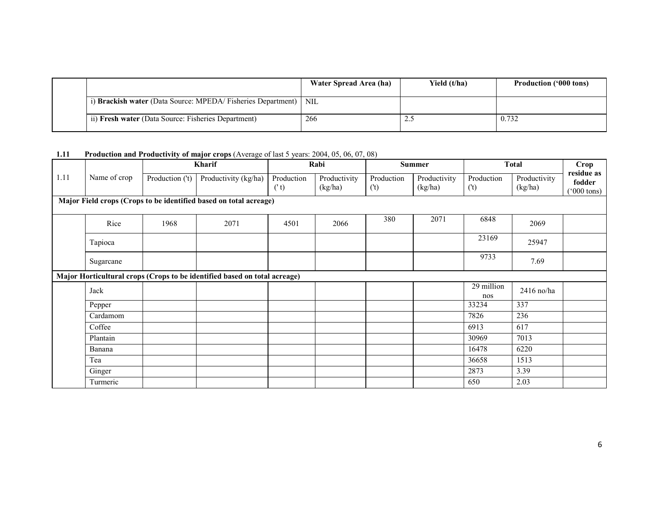|                                                                   | Water Spread Area (ha) | Yield (t/ha) | <b>Production ('000 tons)</b> |
|-------------------------------------------------------------------|------------------------|--------------|-------------------------------|
| i) Brackish water (Data Source: MPEDA/Fisheries Department)   NIL |                        |              |                               |
| ii) Fresh water (Data Source: Fisheries Department)               | 266                    | ل ک          | 0.732                         |

#### 1.11 Production and Productivity of major crops (Average of last 5 years: 2004, 05, 06, 07, 08)

|      |                                                                   |                 | <b>Kharif</b>                                                             | Rabi               |                         |                   | <b>Summer</b>           | <b>Total</b>          |                         | <b>Crop</b>                                  |
|------|-------------------------------------------------------------------|-----------------|---------------------------------------------------------------------------|--------------------|-------------------------|-------------------|-------------------------|-----------------------|-------------------------|----------------------------------------------|
| 1.11 | Name of crop                                                      | Production ('t) | Productivity (kg/ha)                                                      | Production<br>('t) | Productivity<br>(kg/ha) | Production<br>(t) | Productivity<br>(kg/ha) | Production<br>$($ 't) | Productivity<br>(kg/ha) | residue as<br>fodder<br>$^{\prime}000$ tons) |
|      | Major Field crops (Crops to be identified based on total acreage) |                 |                                                                           |                    |                         |                   |                         |                       |                         |                                              |
|      | Rice                                                              | 1968            | 2071                                                                      | 4501               | 2066                    | 380               | 2071                    | 6848                  | 2069                    |                                              |
|      | Tapioca                                                           |                 |                                                                           |                    |                         |                   |                         | 23169                 | 25947                   |                                              |
|      | Sugarcane                                                         |                 |                                                                           |                    |                         |                   |                         | 9733                  | 7.69                    |                                              |
|      |                                                                   |                 | Major Horticultural crops (Crops to be identified based on total acreage) |                    |                         |                   |                         |                       |                         |                                              |
|      | Jack                                                              |                 |                                                                           |                    |                         |                   |                         | 29 million<br>nos     | 2416 no/ha              |                                              |
|      | Pepper                                                            |                 |                                                                           |                    |                         |                   |                         | 33234                 | 337                     |                                              |
|      | Cardamom                                                          |                 |                                                                           |                    |                         |                   |                         | 7826                  | 236                     |                                              |
|      | Coffee                                                            |                 |                                                                           |                    |                         |                   |                         | 6913                  | 617                     |                                              |
|      | Plantain                                                          |                 |                                                                           |                    |                         |                   |                         | 30969                 | 7013                    |                                              |
|      | Banana                                                            |                 |                                                                           |                    |                         |                   |                         | 16478                 | 6220                    |                                              |
|      | Tea                                                               |                 |                                                                           |                    |                         |                   |                         | 36658                 | 1513                    |                                              |
|      | Ginger                                                            |                 |                                                                           |                    |                         |                   |                         | 2873                  | 3.39                    |                                              |
|      | Turmeric                                                          |                 |                                                                           |                    |                         |                   |                         | 650                   | 2.03                    |                                              |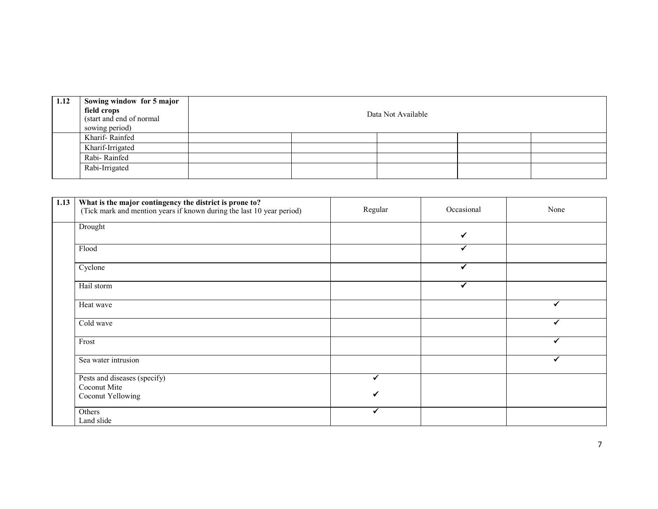| 1.12 | Sowing window for 5 major<br>field crops<br>(start and end of normal<br>sowing period) |  | Data Not Available |  |
|------|----------------------------------------------------------------------------------------|--|--------------------|--|
|      | Kharif-Rainfed                                                                         |  |                    |  |
|      | Kharif-Irrigated                                                                       |  |                    |  |
|      | Rabi-Rainfed                                                                           |  |                    |  |
|      | Rabi-Irrigated                                                                         |  |                    |  |

| 1.13 | What is the major contingency the district is prone to?<br>(Tick mark and mention years if known during the last 10 year period) | Regular | Occasional | None |
|------|----------------------------------------------------------------------------------------------------------------------------------|---------|------------|------|
|      | Drought                                                                                                                          |         | ✓          |      |
|      | Flood                                                                                                                            |         |            |      |
|      | Cyclone                                                                                                                          |         | ✔          |      |
|      | Hail storm                                                                                                                       |         | ✔          |      |
|      | Heat wave                                                                                                                        |         |            |      |
|      | Cold wave                                                                                                                        |         |            |      |
|      | Frost                                                                                                                            |         |            |      |
|      | Sea water intrusion                                                                                                              |         |            |      |
|      | Pests and diseases (specify)                                                                                                     |         |            |      |
|      | Coconut Mite                                                                                                                     |         |            |      |
|      | Coconut Yellowing                                                                                                                |         |            |      |
|      | Others                                                                                                                           | ✔       |            |      |
|      | Land slide                                                                                                                       |         |            |      |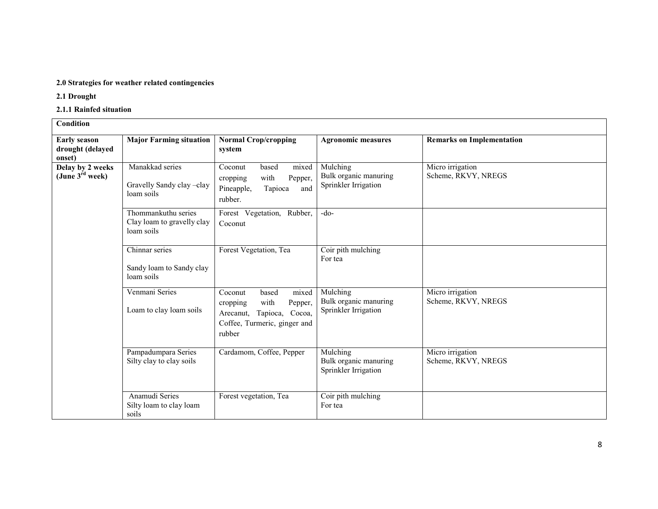#### 2.0 Strategies for weather related contingencies

2.1 Drought

2.1.1 Rainfed situation

| Condition                                         |                                                                 |                                                                                                                                    |                                                           |                                         |
|---------------------------------------------------|-----------------------------------------------------------------|------------------------------------------------------------------------------------------------------------------------------------|-----------------------------------------------------------|-----------------------------------------|
| <b>Early season</b><br>drought (delayed<br>onset) | <b>Major Farming situation</b>                                  | <b>Normal Crop/cropping</b><br>system                                                                                              | <b>Agronomic measures</b>                                 | <b>Remarks on Implementation</b>        |
| Delay by 2 weeks<br>(June $3^{\text{rd}}$ week)   | Manakkad series<br>Gravelly Sandy clay -clay<br>loam soils      | Coconut<br>based<br>mixed<br>with<br>Pepper,<br>cropping<br>Pineapple,<br>Tapioca<br>and<br>rubber.                                | Mulching<br>Bulk organic manuring<br>Sprinkler Irrigation | Micro irrigation<br>Scheme, RKVY, NREGS |
|                                                   | Thommankuthu series<br>Clay loam to gravelly clay<br>loam soils | Forest Vegetation, Rubber,<br>Coconut                                                                                              | $-do-$                                                    |                                         |
|                                                   | Chinnar series<br>Sandy loam to Sandy clay<br>loam soils        | Forest Vegetation, Tea                                                                                                             | Coir pith mulching<br>For tea                             |                                         |
|                                                   | Venmani Series<br>Loam to clay loam soils                       | Coconut<br>based<br>mixed<br>with<br>Pepper,<br>cropping<br>Tapioca, Cocoa,<br>Arecanut,<br>Coffee, Turmeric, ginger and<br>rubber | Mulching<br>Bulk organic manuring<br>Sprinkler Irrigation | Micro irrigation<br>Scheme, RKVY, NREGS |
|                                                   | Pampadumpara Series<br>Silty clay to clay soils                 | Cardamom, Coffee, Pepper                                                                                                           | Mulching<br>Bulk organic manuring<br>Sprinkler Irrigation | Micro irrigation<br>Scheme, RKVY, NREGS |
|                                                   | Anamudi Series<br>Silty loam to clay loam<br>soils              | Forest vegetation, Tea                                                                                                             | Coir pith mulching<br>For tea                             |                                         |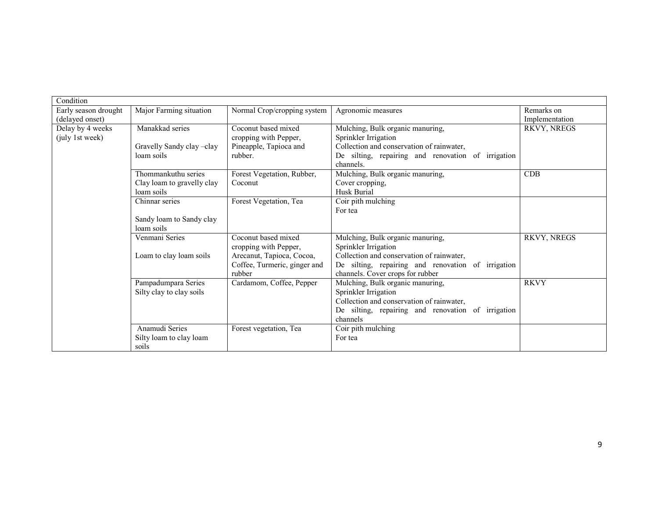| Condition            |                            |                              |                                                    |                |
|----------------------|----------------------------|------------------------------|----------------------------------------------------|----------------|
| Early season drought | Major Farming situation    | Normal Crop/cropping system  | Agronomic measures                                 | Remarks on     |
| (delayed onset)      |                            |                              |                                                    | Implementation |
| Delay by 4 weeks     | Manakkad series            | Coconut based mixed          | Mulching, Bulk organic manuring,                   | RKVY, NREGS    |
| (july 1st week)      |                            | cropping with Pepper,        | Sprinkler Irrigation                               |                |
|                      | Gravelly Sandy clay -clay  | Pineapple, Tapioca and       | Collection and conservation of rainwater,          |                |
|                      | loam soils                 | rubber.                      | De silting, repairing and renovation of irrigation |                |
|                      |                            |                              | channels.                                          |                |
|                      | Thommankuthu series        | Forest Vegetation, Rubber,   | Mulching, Bulk organic manuring,                   | CDB            |
|                      | Clay loam to gravelly clay | Coconut                      | Cover cropping,                                    |                |
|                      | loam soils                 |                              | Husk Burial                                        |                |
|                      | Chinnar series             | Forest Vegetation, Tea       | Coir pith mulching                                 |                |
|                      |                            |                              | For tea                                            |                |
|                      | Sandy loam to Sandy clay   |                              |                                                    |                |
|                      | loam soils                 |                              |                                                    |                |
|                      | Venmani Series             | Coconut based mixed          | Mulching, Bulk organic manuring,                   | RKVY, NREGS    |
|                      |                            | cropping with Pepper,        | Sprinkler Irrigation                               |                |
|                      | Loam to clay loam soils    | Arecanut, Tapioca, Cocoa,    | Collection and conservation of rainwater,          |                |
|                      |                            | Coffee, Turmeric, ginger and | De silting, repairing and renovation of irrigation |                |
|                      |                            | rubber                       | channels. Cover crops for rubber                   |                |
|                      | Pampadumpara Series        | Cardamom, Coffee, Pepper     | Mulching, Bulk organic manuring,                   | <b>RKVY</b>    |
|                      | Silty clay to clay soils   |                              | Sprinkler Irrigation                               |                |
|                      |                            |                              | Collection and conservation of rainwater,          |                |
|                      |                            |                              | De silting, repairing and renovation of irrigation |                |
|                      |                            |                              | channels                                           |                |
|                      | Anamudi Series             | Forest vegetation, Tea       | Coir pith mulching                                 |                |
|                      | Silty loam to clay loam    |                              | For tea                                            |                |
|                      | soils                      |                              |                                                    |                |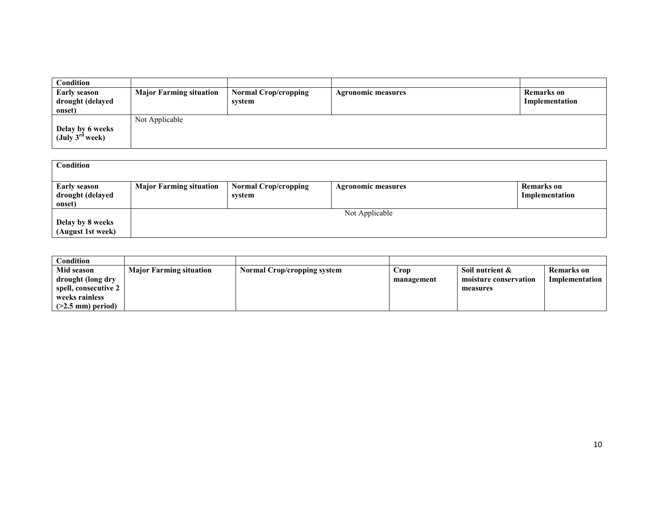| Condition                   |                                |                             |                           |                |
|-----------------------------|--------------------------------|-----------------------------|---------------------------|----------------|
| <b>Early season</b>         | <b>Major Farming situation</b> | <b>Normal Crop/cropping</b> | <b>Agronomic measures</b> | Remarks on     |
| drought (delayed            |                                | system                      |                           | Implementation |
| onset)                      |                                |                             |                           |                |
|                             | Not Applicable                 |                             |                           |                |
| Delay by 6 weeks            |                                |                             |                           |                |
| (July $3^{\text{rd}}$ week) |                                |                             |                           |                |
|                             |                                |                             |                           |                |

| Condition                                         |                                |                                       |                           |                                     |
|---------------------------------------------------|--------------------------------|---------------------------------------|---------------------------|-------------------------------------|
| <b>Early season</b><br>drought (delayed<br>onset) | <b>Major Farming situation</b> | <b>Normal Crop/cropping</b><br>system | <b>Agronomic measures</b> | <b>Remarks</b> on<br>Implementation |
| Delay by 8 weeks<br>(August 1st week)             |                                |                                       | Not Applicable            |                                     |

| <b>Condition</b>     |                                |                                    |            |                       |                |
|----------------------|--------------------------------|------------------------------------|------------|-----------------------|----------------|
| Mid season           | <b>Major Farming situation</b> | <b>Normal Crop/cropping system</b> | Crop       | Soil nutrient &       | Remarks on     |
| drought (long dry    |                                |                                    | management | moisture conservation | Implementation |
| spell, consecutive 2 |                                |                                    |            | measures              |                |
| weeks rainless       |                                |                                    |            |                       |                |
| $(>2.5$ mm) period)  |                                |                                    |            |                       |                |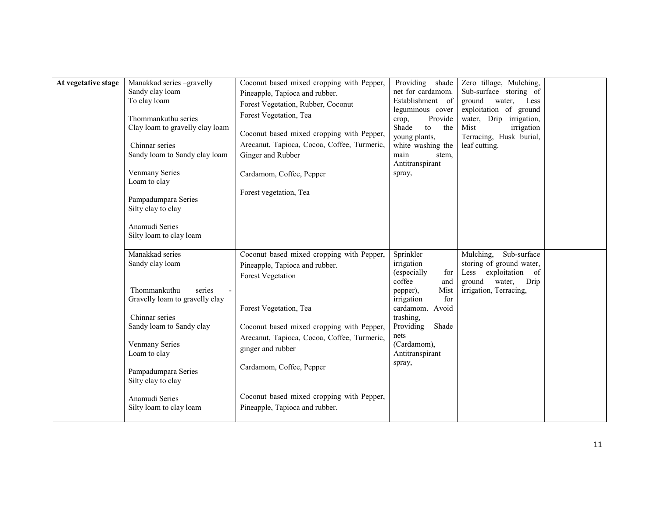| At vegetative stage | Manakkad series -gravelly<br>Sandy clay loam<br>To clay loam<br>Thommankuthu series<br>Clay loam to gravelly clay loam<br>Chinnar series<br>Sandy loam to Sandy clay loam<br>Venmany Series<br>Loam to clay<br>Pampadumpara Series<br>Silty clay to clay<br>Anamudi Series<br>Silty loam to clay loam | Coconut based mixed cropping with Pepper,<br>Pineapple, Tapioca and rubber.<br>Forest Vegetation, Rubber, Coconut<br>Forest Vegetation, Tea<br>Coconut based mixed cropping with Pepper,<br>Arecanut, Tapioca, Cocoa, Coffee, Turmeric,<br>Ginger and Rubber<br>Cardamom, Coffee, Pepper<br>Forest vegetation, Tea          | Providing<br>shade<br>net for cardamom.<br>Establishment of<br>leguminous cover<br>crop,<br>Provide<br>Shade<br>the<br>to<br>young plants,<br>white washing the<br>main<br>stem,<br>Antitranspirant<br>spray,        | Zero tillage, Mulching,<br>Sub-surface storing of<br>water, Less<br>ground<br>exploitation of ground<br>water, Drip irrigation,<br>Mist<br>irrigation<br>Terracing, Husk burial,<br>leaf cutting. |  |
|---------------------|-------------------------------------------------------------------------------------------------------------------------------------------------------------------------------------------------------------------------------------------------------------------------------------------------------|-----------------------------------------------------------------------------------------------------------------------------------------------------------------------------------------------------------------------------------------------------------------------------------------------------------------------------|----------------------------------------------------------------------------------------------------------------------------------------------------------------------------------------------------------------------|---------------------------------------------------------------------------------------------------------------------------------------------------------------------------------------------------|--|
|                     | Manakkad series<br>Sandy clay loam<br>Thommankuthu<br>series<br>Gravelly loam to gravelly clay<br>Chinnar series<br>Sandy loam to Sandy clay<br><b>Venmany Series</b><br>Loam to clay<br>Pampadumpara Series<br>Silty clay to clay<br>Anamudi Series                                                  | Coconut based mixed cropping with Pepper,<br>Pineapple, Tapioca and rubber.<br><b>Forest Vegetation</b><br>Forest Vegetation, Tea<br>Coconut based mixed cropping with Pepper,<br>Arecanut, Tapioca, Cocoa, Coffee, Turmeric,<br>ginger and rubber<br>Cardamom, Coffee, Pepper<br>Coconut based mixed cropping with Pepper, | Sprinkler<br>irrigation<br>(especially<br>for<br>coffee<br>and<br>Mist<br>pepper),<br>irrigation<br>for<br>cardamom.<br>Avoid<br>trashing,<br>Providing<br>Shade<br>nets<br>(Cardamom),<br>Antitranspirant<br>spray, | Sub-surface<br>Mulching,<br>storing of ground water,<br>exploitation of<br>Less<br>water,<br>Drip<br>ground<br>irrigation, Terracing,                                                             |  |
|                     | Silty loam to clay loam                                                                                                                                                                                                                                                                               | Pineapple, Tapioca and rubber.                                                                                                                                                                                                                                                                                              |                                                                                                                                                                                                                      |                                                                                                                                                                                                   |  |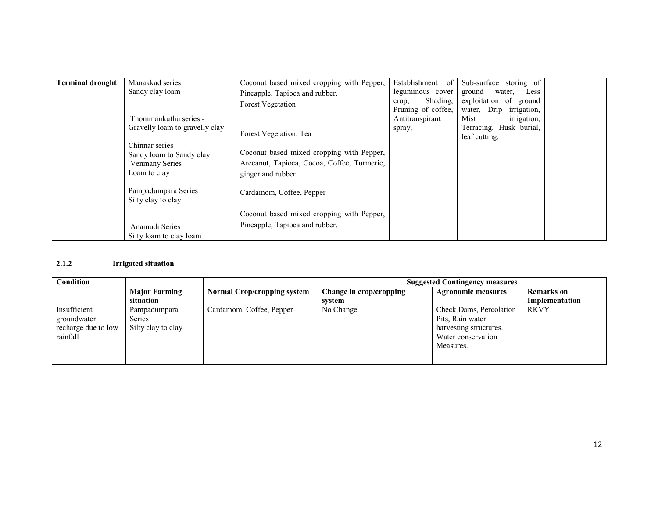| <b>Terminal drought</b> | Manakkad series                                                                     | Coconut based mixed cropping with Pepper,                                                                     | Establishment<br>- of                   | Sub-surface storing of                            |  |
|-------------------------|-------------------------------------------------------------------------------------|---------------------------------------------------------------------------------------------------------------|-----------------------------------------|---------------------------------------------------|--|
|                         | Sandy clay loam                                                                     | Pineapple, Tapioca and rubber.                                                                                | leguminous cover                        | ground<br>Less<br>water,                          |  |
|                         |                                                                                     | <b>Forest Vegetation</b>                                                                                      | Shading.<br>crop,<br>Pruning of coffee, | exploitation of ground<br>water, Drip irrigation, |  |
|                         | Thommankuthu series -                                                               |                                                                                                               | Antitranspirant                         | Mist<br><i>irrigation,</i>                        |  |
|                         | Gravelly loam to gravelly clay                                                      | Forest Vegetation, Tea                                                                                        | spray,                                  | Terracing, Husk burial,<br>leaf cutting.          |  |
|                         | Chinnar series<br>Sandy loam to Sandy clay<br><b>Venmany Series</b><br>Loam to clay | Coconut based mixed cropping with Pepper,<br>Arecanut, Tapioca, Cocoa, Coffee, Turmeric,<br>ginger and rubber |                                         |                                                   |  |
|                         | Pampadumpara Series<br>Silty clay to clay                                           | Cardamom, Coffee, Pepper                                                                                      |                                         |                                                   |  |
|                         |                                                                                     | Coconut based mixed cropping with Pepper,                                                                     |                                         |                                                   |  |
|                         | Anamudi Series                                                                      | Pineapple, Tapioca and rubber.                                                                                |                                         |                                                   |  |
|                         | Silty loam to clay loam                                                             |                                                                                                               |                                         |                                                   |  |

#### 2.1.2 Irrigated situation

| Condition                                                      |                                                     |                                    |                         | <b>Suggested Contingency measures</b>                                                                    |                   |
|----------------------------------------------------------------|-----------------------------------------------------|------------------------------------|-------------------------|----------------------------------------------------------------------------------------------------------|-------------------|
|                                                                | <b>Major Farming</b>                                | <b>Normal Crop/cropping system</b> | Change in crop/cropping | <b>Agronomic measures</b>                                                                                | <b>Remarks</b> on |
|                                                                | situation                                           |                                    | system                  |                                                                                                          | Implementation    |
| Insufficient<br>groundwater<br>recharge due to low<br>rainfall | Pampadumpara<br><b>Series</b><br>Silty clay to clay | Cardamom, Coffee, Pepper           | No Change               | Check Dams, Percolation<br>Pits, Rain water<br>harvesting structures.<br>Water conservation<br>Measures. | <b>RKVY</b>       |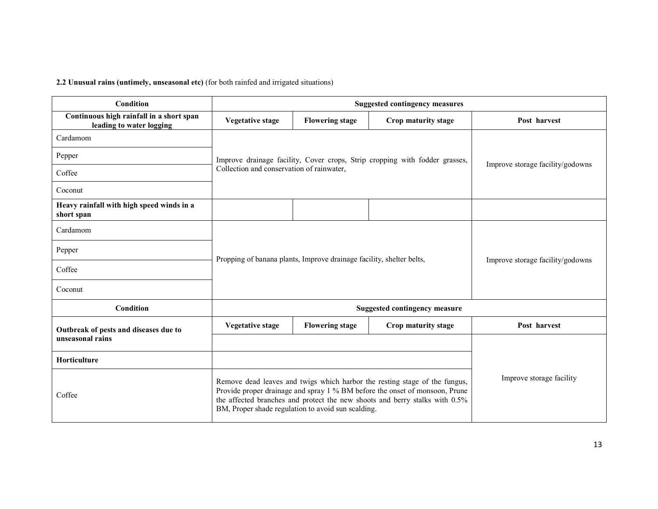2.2 Unusual rains (untimely, unseasonal etc) (for both rainfed and irrigated situations)

| Condition                                                            |                                                                                                                                                                                                                                                                                                |                        | <b>Suggested contingency measures</b> |                                  |  |
|----------------------------------------------------------------------|------------------------------------------------------------------------------------------------------------------------------------------------------------------------------------------------------------------------------------------------------------------------------------------------|------------------------|---------------------------------------|----------------------------------|--|
| Continuous high rainfall in a short span<br>leading to water logging | Vegetative stage                                                                                                                                                                                                                                                                               | <b>Flowering stage</b> | Crop maturity stage                   | Post harvest                     |  |
| Cardamom                                                             |                                                                                                                                                                                                                                                                                                |                        |                                       |                                  |  |
| Pepper                                                               | Improve drainage facility, Cover crops, Strip cropping with fodder grasses,<br>Improve storage facility/godowns                                                                                                                                                                                |                        |                                       |                                  |  |
| Coffee                                                               | Collection and conservation of rainwater,                                                                                                                                                                                                                                                      |                        |                                       |                                  |  |
| Coconut                                                              |                                                                                                                                                                                                                                                                                                |                        |                                       |                                  |  |
| Heavy rainfall with high speed winds in a<br>short span              |                                                                                                                                                                                                                                                                                                |                        |                                       |                                  |  |
| Cardamom                                                             |                                                                                                                                                                                                                                                                                                |                        |                                       |                                  |  |
| Pepper                                                               | Propping of banana plants, Improve drainage facility, shelter belts,                                                                                                                                                                                                                           |                        |                                       | Improve storage facility/godowns |  |
| Coffee                                                               |                                                                                                                                                                                                                                                                                                |                        |                                       |                                  |  |
| Coconut                                                              |                                                                                                                                                                                                                                                                                                |                        |                                       |                                  |  |
| Condition                                                            |                                                                                                                                                                                                                                                                                                |                        | <b>Suggested contingency measure</b>  |                                  |  |
| Outbreak of pests and diseases due to                                | <b>Vegetative stage</b>                                                                                                                                                                                                                                                                        | <b>Flowering stage</b> | Crop maturity stage                   | Post harvest                     |  |
| unseasonal rains                                                     |                                                                                                                                                                                                                                                                                                |                        |                                       |                                  |  |
| Horticulture                                                         |                                                                                                                                                                                                                                                                                                |                        |                                       |                                  |  |
| Coffee                                                               | Remove dead leaves and twigs which harbor the resting stage of the fungus,<br>Provide proper drainage and spray 1 % BM before the onset of monsoon, Prune<br>the affected branches and protect the new shoots and berry stalks with 0.5%<br>BM, Proper shade regulation to avoid sun scalding. |                        |                                       | Improve storage facility         |  |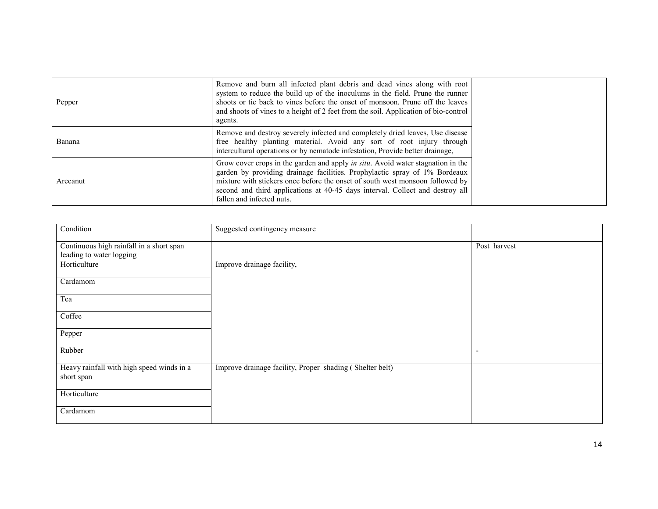| Pepper   | Remove and burn all infected plant debris and dead vines along with root<br>system to reduce the build up of the inoculums in the field. Prune the runner<br>shoots or tie back to vines before the onset of monsoon. Prune off the leaves<br>and shoots of vines to a height of 2 feet from the soil. Application of bio-control<br>agents.                 |
|----------|--------------------------------------------------------------------------------------------------------------------------------------------------------------------------------------------------------------------------------------------------------------------------------------------------------------------------------------------------------------|
| Banana   | Remove and destroy severely infected and completely dried leaves, Use disease<br>free healthy planting material. Avoid any sort of root injury through<br>intercultural operations or by nematode infestation, Provide better drainage,                                                                                                                      |
| Arecanut | Grow cover crops in the garden and apply in situ. Avoid water stagnation in the<br>garden by providing drainage facilities. Prophylactic spray of 1% Bordeaux<br>mixture with stickers once before the onset of south west monsoon followed by<br>second and third applications at 40-45 days interval. Collect and destroy all<br>fallen and infected nuts. |

| Condition                                 | Suggested contingency measure                            |                          |
|-------------------------------------------|----------------------------------------------------------|--------------------------|
| Continuous high rainfall in a short span  |                                                          | Post harvest             |
| leading to water logging                  |                                                          |                          |
| Horticulture                              |                                                          |                          |
|                                           | Improve drainage facility,                               |                          |
| Cardamom                                  |                                                          |                          |
|                                           |                                                          |                          |
| Tea                                       |                                                          |                          |
| Coffee                                    |                                                          |                          |
|                                           |                                                          |                          |
| Pepper                                    |                                                          |                          |
|                                           |                                                          |                          |
| Rubber                                    |                                                          | $\overline{\phantom{a}}$ |
|                                           |                                                          |                          |
| Heavy rainfall with high speed winds in a | Improve drainage facility, Proper shading (Shelter belt) |                          |
| short span                                |                                                          |                          |
|                                           |                                                          |                          |
| Horticulture                              |                                                          |                          |
|                                           |                                                          |                          |
| Cardamom                                  |                                                          |                          |
|                                           |                                                          |                          |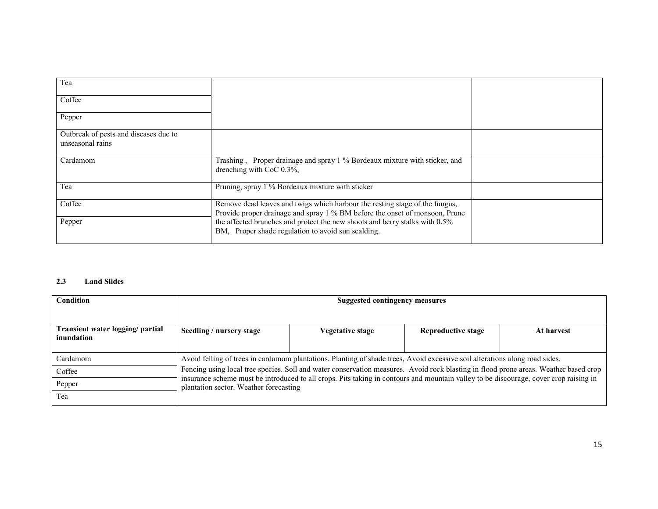| Tea                                                       |                                                                                                                                                            |  |
|-----------------------------------------------------------|------------------------------------------------------------------------------------------------------------------------------------------------------------|--|
| Coffee                                                    |                                                                                                                                                            |  |
| Pepper                                                    |                                                                                                                                                            |  |
| Outbreak of pests and diseases due to<br>unseasonal rains |                                                                                                                                                            |  |
| Cardamom                                                  | Trashing, Proper drainage and spray 1 % Bordeaux mixture with sticker, and<br>drenching with CoC 0.3%,                                                     |  |
| Tea                                                       | Pruning, spray 1 % Bordeaux mixture with sticker                                                                                                           |  |
| Coffee                                                    | Remove dead leaves and twigs which harbour the resting stage of the fungus,<br>Provide proper drainage and spray 1 % BM before the onset of monsoon, Prune |  |
| Pepper                                                    | the affected branches and protect the new shoots and berry stalks with 0.5%<br>BM, Proper shade regulation to avoid sun scalding.                          |  |

#### 2.3 Land Slides

| <b>Condition</b>                               | <b>Suggested contingency measures</b>                                                                                                                                                                                                                                                                                   |                                                                                                                             |                    |            |
|------------------------------------------------|-------------------------------------------------------------------------------------------------------------------------------------------------------------------------------------------------------------------------------------------------------------------------------------------------------------------------|-----------------------------------------------------------------------------------------------------------------------------|--------------------|------------|
| Transient water logging/ partial<br>inundation | Seedling / nursery stage                                                                                                                                                                                                                                                                                                | Vegetative stage                                                                                                            | Reproductive stage | At harvest |
| Cardamom                                       |                                                                                                                                                                                                                                                                                                                         | Avoid felling of trees in cardamom plantations. Planting of shade trees, Avoid excessive soil alterations along road sides. |                    |            |
| Coffee                                         | Fencing using local tree species. Soil and water conservation measures. Avoid rock blasting in flood prone areas. Weather based crop<br>insurance scheme must be introduced to all crops. Pits taking in contours and mountain valley to be discourage, cover crop raising in<br>plantation sector. Weather forecasting |                                                                                                                             |                    |            |
| Pepper                                         |                                                                                                                                                                                                                                                                                                                         |                                                                                                                             |                    |            |
| Tea                                            |                                                                                                                                                                                                                                                                                                                         |                                                                                                                             |                    |            |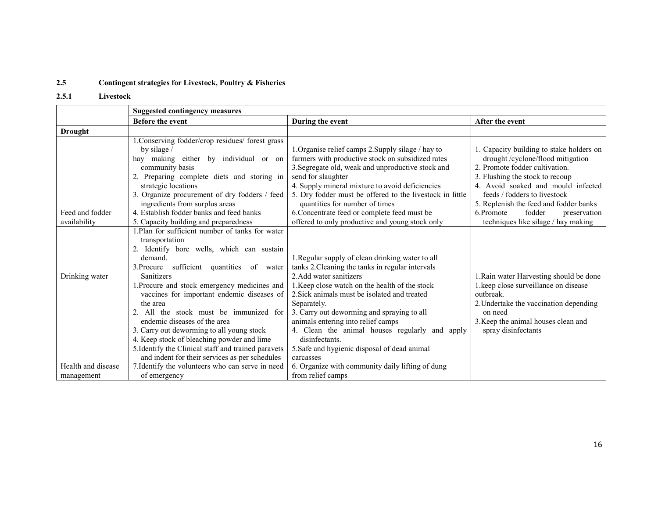#### 2.5Contingent strategies for Livestock, Poultry & Fisheries

### 2.5.1 Livestock

|                                  | <b>Suggested contingency measures</b>                                                                                                                                                                                                                                                                                                                                              |                                                                                                                                                                                                                                                                                                                                                                                     |                                                                                                                                                                                                                                                                                                          |  |
|----------------------------------|------------------------------------------------------------------------------------------------------------------------------------------------------------------------------------------------------------------------------------------------------------------------------------------------------------------------------------------------------------------------------------|-------------------------------------------------------------------------------------------------------------------------------------------------------------------------------------------------------------------------------------------------------------------------------------------------------------------------------------------------------------------------------------|----------------------------------------------------------------------------------------------------------------------------------------------------------------------------------------------------------------------------------------------------------------------------------------------------------|--|
|                                  | <b>Before the event</b>                                                                                                                                                                                                                                                                                                                                                            | During the event                                                                                                                                                                                                                                                                                                                                                                    | After the event                                                                                                                                                                                                                                                                                          |  |
| <b>Drought</b>                   |                                                                                                                                                                                                                                                                                                                                                                                    |                                                                                                                                                                                                                                                                                                                                                                                     |                                                                                                                                                                                                                                                                                                          |  |
| Feed and fodder                  | 1. Conserving fodder/crop residues/ forest grass<br>by silage $\sqrt{ }$<br>making either by individual or on<br>hav<br>community basis<br>2. Preparing complete diets and storing in<br>strategic locations<br>3. Organize procurement of dry fodders / feed<br>ingredients from surplus areas<br>4. Establish fodder banks and feed banks                                        | 1. Organise relief camps 2. Supply silage / hay to<br>farmers with productive stock on subsidized rates<br>3. Segregate old, weak and unproductive stock and<br>send for slaughter<br>4. Supply mineral mixture to avoid deficiencies<br>5. Dry fodder must be offered to the livestock in little<br>quantities for number of times<br>6. Concentrate feed or complete feed must be | 1. Capacity building to stake holders on<br>drought/cyclone/flood mitigation<br>2. Promote fodder cultivation.<br>3. Flushing the stock to recoup<br>4. Avoid soaked and mould infected<br>feeds / fodders to livestock<br>5. Replenish the feed and fodder banks<br>6.Promote<br>fodder<br>preservation |  |
| availability                     | 5. Capacity building and preparedness                                                                                                                                                                                                                                                                                                                                              | offered to only productive and young stock only                                                                                                                                                                                                                                                                                                                                     | techniques like silage / hay making                                                                                                                                                                                                                                                                      |  |
|                                  | 1. Plan for sufficient number of tanks for water<br>transportation<br>2. Identify bore wells, which can sustain<br>demand.<br>sufficient quantities of water<br>3.Procure                                                                                                                                                                                                          | 1. Regular supply of clean drinking water to all<br>tanks 2. Cleaning the tanks in regular intervals                                                                                                                                                                                                                                                                                |                                                                                                                                                                                                                                                                                                          |  |
| Drinking water                   | <b>Sanitizers</b>                                                                                                                                                                                                                                                                                                                                                                  | 2. Add water sanitizers                                                                                                                                                                                                                                                                                                                                                             | 1. Rain water Harvesting should be done                                                                                                                                                                                                                                                                  |  |
|                                  | .Procure and stock emergency medicines and<br>vaccines for important endemic diseases of<br>the area<br>2. All the stock must be immunized for<br>endemic diseases of the area<br>3. Carry out deworming to all young stock<br>4. Keep stock of bleaching powder and lime<br>5. Identify the Clinical staff and trained paravets<br>and indent for their services as per schedules | 1. Keep close watch on the health of the stock<br>2. Sick animals must be isolated and treated<br>Separately.<br>3. Carry out deworming and spraying to all<br>animals entering into relief camps<br>4. Clean the animal houses regularly and apply<br>disinfectants.<br>5. Safe and hygienic disposal of dead animal<br>carcasses                                                  | 1. keep close surveillance on disease<br>outbreak.<br>2. Undertake the vaccination depending<br>on need<br>3. Keep the animal houses clean and<br>spray disinfectants                                                                                                                                    |  |
| Health and disease<br>management | 7. Identify the volunteers who can serve in need<br>of emergency                                                                                                                                                                                                                                                                                                                   | 6. Organize with community daily lifting of dung<br>from relief camps                                                                                                                                                                                                                                                                                                               |                                                                                                                                                                                                                                                                                                          |  |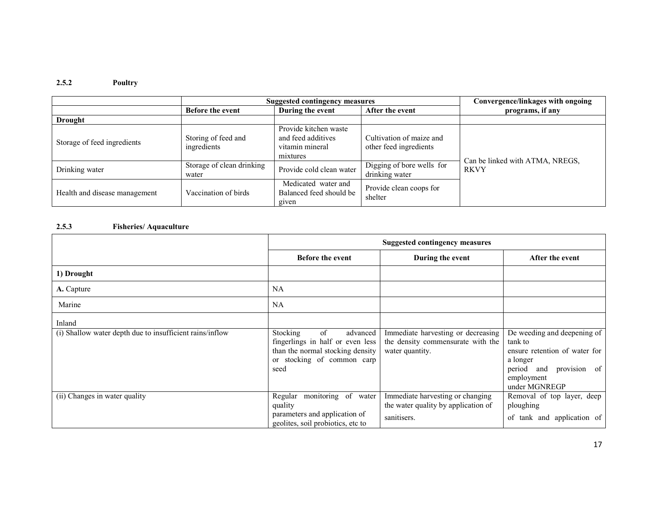#### 2.5.2 Poultry

|                               | <b>Suggested contingency measures</b> |                                                                            |                                                    | Convergence/linkages with ongoing |  |
|-------------------------------|---------------------------------------|----------------------------------------------------------------------------|----------------------------------------------------|-----------------------------------|--|
|                               | <b>Before the event</b>               | During the event                                                           | After the event                                    | programs, if any                  |  |
| <b>Drought</b>                |                                       |                                                                            |                                                    |                                   |  |
| Storage of feed ingredients   | Storing of feed and<br>ingredients    | Provide kitchen waste<br>and feed additives<br>vitamin mineral<br>mixtures | Cultivation of maize and<br>other feed ingredients | Can be linked with ATMA, NREGS,   |  |
| Drinking water                | Storage of clean drinking<br>water    | Provide cold clean water                                                   | Digging of bore wells for<br>drinking water        | <b>RKVY</b>                       |  |
| Health and disease management | Vaccination of birds                  | Medicated water and<br>Balanced feed should be<br>given                    | Provide clean coops for<br>shelter                 |                                   |  |

#### 2.5.3 Fisheries/ Aquaculture

|                                                                    | <b>Suggested contingency measures</b>                                                                                                           |                                                                                            |                                                                                                                                                  |
|--------------------------------------------------------------------|-------------------------------------------------------------------------------------------------------------------------------------------------|--------------------------------------------------------------------------------------------|--------------------------------------------------------------------------------------------------------------------------------------------------|
|                                                                    | <b>Before the event</b>                                                                                                                         | During the event                                                                           | After the event                                                                                                                                  |
| 1) Drought                                                         |                                                                                                                                                 |                                                                                            |                                                                                                                                                  |
| A. Capture                                                         | <b>NA</b>                                                                                                                                       |                                                                                            |                                                                                                                                                  |
| Marine                                                             | NA                                                                                                                                              |                                                                                            |                                                                                                                                                  |
| Inland<br>(i) Shallow water depth due to insufficient rains/inflow | <b>Stocking</b><br>of<br>advanced<br>fingerlings in half or even less<br>than the normal stocking density<br>or stocking of common carp<br>seed | Immediate harvesting or decreasing<br>the density commensurate with the<br>water quantity. | De weeding and deepening of<br>tank to<br>ensure retention of water for<br>a longer<br>provision of<br>period and<br>employment<br>under MGNREGP |
| (ii) Changes in water quality                                      | monitoring of water<br>Regular<br>quality<br>parameters and application of<br>geolites, soil probiotics, etc to                                 | Immediate harvesting or changing<br>the water quality by application of<br>sanitisers.     | Removal of top layer, deep<br>ploughing<br>of tank and application of                                                                            |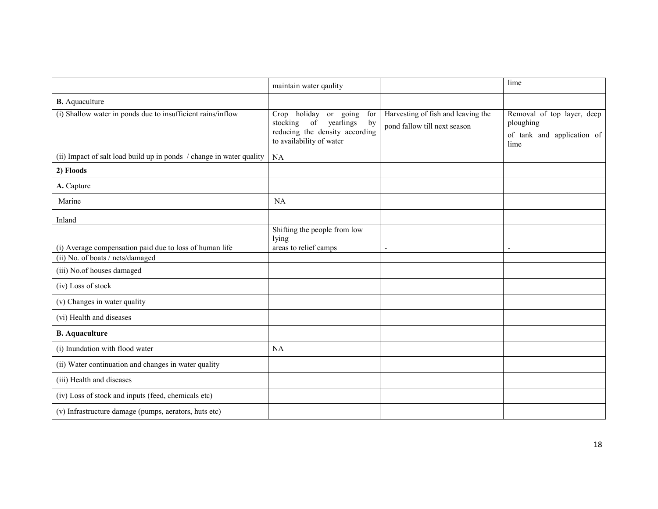|                                                                                                                           | maintain water qaulity                                                                                                             |                                                                    | lime                                                                          |
|---------------------------------------------------------------------------------------------------------------------------|------------------------------------------------------------------------------------------------------------------------------------|--------------------------------------------------------------------|-------------------------------------------------------------------------------|
| <b>B.</b> Aquaculture                                                                                                     |                                                                                                                                    |                                                                    |                                                                               |
| (i) Shallow water in ponds due to insufficient rains/inflow                                                               | Crop holiday<br>or going<br>for<br>stocking<br>yearlings<br>of<br>by<br>reducing the density according<br>to availability of water | Harvesting of fish and leaving the<br>pond fallow till next season | Removal of top layer, deep<br>ploughing<br>of tank and application of<br>lime |
| (ii) Impact of salt load build up in ponds / change in water quality                                                      | NA                                                                                                                                 |                                                                    |                                                                               |
| 2) Floods                                                                                                                 |                                                                                                                                    |                                                                    |                                                                               |
| A. Capture                                                                                                                |                                                                                                                                    |                                                                    |                                                                               |
| Marine                                                                                                                    | NA                                                                                                                                 |                                                                    |                                                                               |
| Inland                                                                                                                    |                                                                                                                                    |                                                                    |                                                                               |
| (i) Average compensation paid due to loss of human life<br>(ii) No. of boats / nets/damaged<br>(iii) No.of houses damaged | Shifting the people from low<br>lying<br>areas to relief camps                                                                     |                                                                    | $\blacksquare$                                                                |
| (iv) Loss of stock                                                                                                        |                                                                                                                                    |                                                                    |                                                                               |
| (v) Changes in water quality                                                                                              |                                                                                                                                    |                                                                    |                                                                               |
| (vi) Health and diseases                                                                                                  |                                                                                                                                    |                                                                    |                                                                               |
| <b>B.</b> Aquaculture                                                                                                     |                                                                                                                                    |                                                                    |                                                                               |
| (i) Inundation with flood water                                                                                           | <b>NA</b>                                                                                                                          |                                                                    |                                                                               |
| (ii) Water continuation and changes in water quality                                                                      |                                                                                                                                    |                                                                    |                                                                               |
| (iii) Health and diseases                                                                                                 |                                                                                                                                    |                                                                    |                                                                               |
| (iv) Loss of stock and inputs (feed, chemicals etc)                                                                       |                                                                                                                                    |                                                                    |                                                                               |
| (v) Infrastructure damage (pumps, aerators, huts etc)                                                                     |                                                                                                                                    |                                                                    |                                                                               |